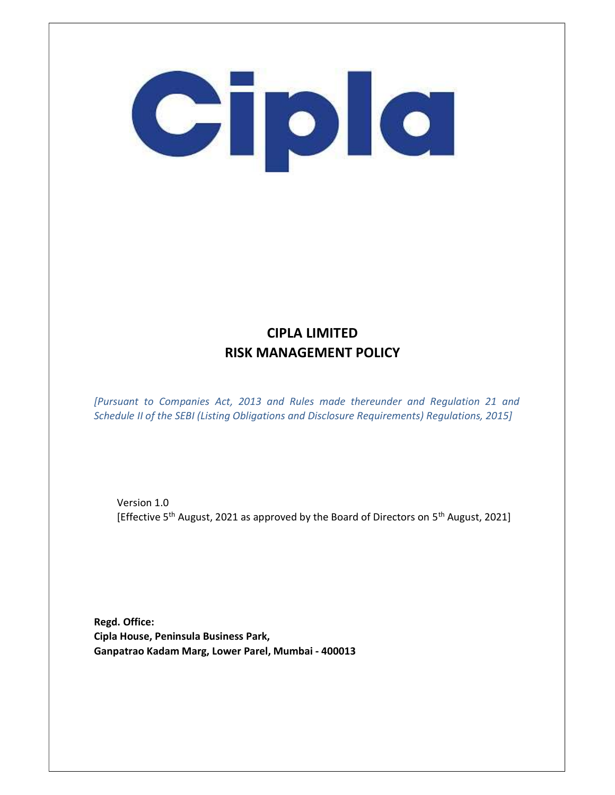

### CIPLA LIMITED RISK MANAGEMENT POLICY

[Pursuant to Companies Act, 2013 and Rules made thereunder and Regulation 21 and Schedule II of the SEBI (Listing Obligations and Disclosure Requirements) Regulations, 2015]

Version 1.0 [Effective 5<sup>th</sup> August, 2021 as approved by the Board of Directors on 5<sup>th</sup> August, 2021]

Regd. Office: Cipla House, Peninsula Business Park, Ganpatrao Kadam Marg, Lower Parel, Mumbai - 400013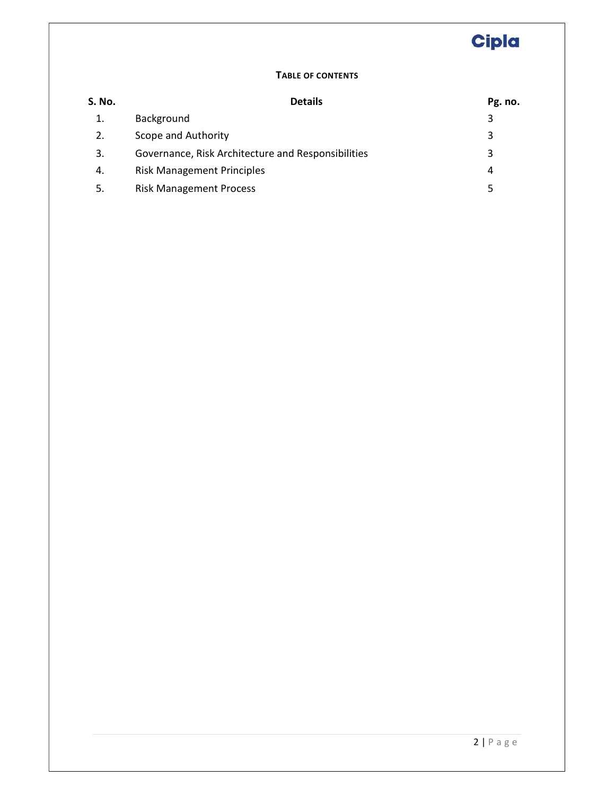#### TABLE OF CONTENTS

| S. No. | <b>Details</b>                                     | Pg. no. |
|--------|----------------------------------------------------|---------|
| 1.     | Background                                         | 3       |
| 2.     | Scope and Authority                                | 3       |
| 3.     | Governance, Risk Architecture and Responsibilities | 3       |
| 4.     | <b>Risk Management Principles</b>                  | 4       |
| 5.     | <b>Risk Management Process</b>                     | 5       |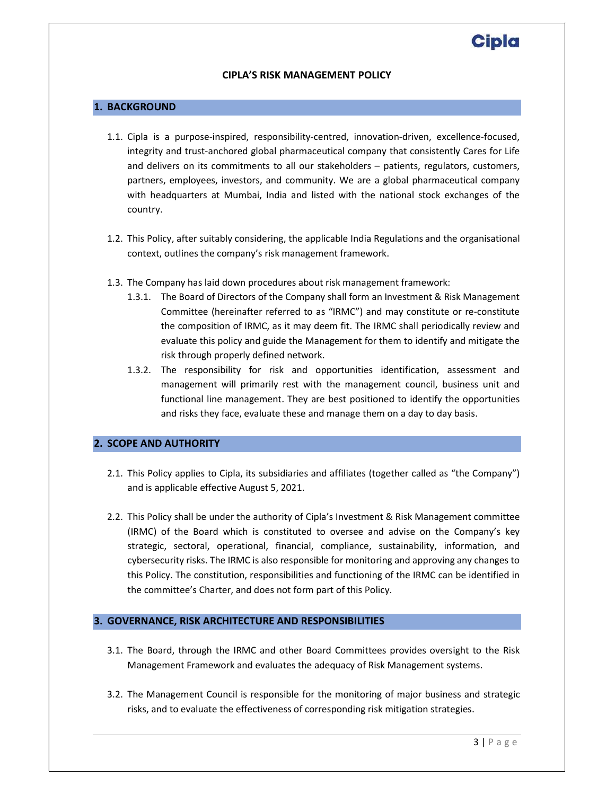#### CIPLA'S RISK MANAGEMENT POLICY

#### 1. BACKGROUND

- 1.1. Cipla is a purpose-inspired, responsibility-centred, innovation-driven, excellence-focused, integrity and trust-anchored global pharmaceutical company that consistently Cares for Life and delivers on its commitments to all our stakeholders – patients, regulators, customers, partners, employees, investors, and community. We are a global pharmaceutical company with headquarters at Mumbai, India and listed with the national stock exchanges of the country.
- 1.2. This Policy, after suitably considering, the applicable India Regulations and the organisational context, outlines the company's risk management framework.
- 1.3. The Company has laid down procedures about risk management framework:
	- 1.3.1. The Board of Directors of the Company shall form an Investment & Risk Management Committee (hereinafter referred to as "IRMC") and may constitute or re-constitute the composition of IRMC, as it may deem fit. The IRMC shall periodically review and evaluate this policy and guide the Management for them to identify and mitigate the risk through properly defined network.
	- 1.3.2. The responsibility for risk and opportunities identification, assessment and management will primarily rest with the management council, business unit and functional line management. They are best positioned to identify the opportunities and risks they face, evaluate these and manage them on a day to day basis.

#### 2. SCOPE AND AUTHORITY

- 2.1. This Policy applies to Cipla, its subsidiaries and affiliates (together called as "the Company") and is applicable effective August 5, 2021.
- 2.2. This Policy shall be under the authority of Cipla's Investment & Risk Management committee (IRMC) of the Board which is constituted to oversee and advise on the Company's key strategic, sectoral, operational, financial, compliance, sustainability, information, and cybersecurity risks. The IRMC is also responsible for monitoring and approving any changes to this Policy. The constitution, responsibilities and functioning of the IRMC can be identified in the committee's Charter, and does not form part of this Policy.

#### 3. GOVERNANCE, RISK ARCHITECTURE AND RESPONSIBILITIES

- 3.1. The Board, through the IRMC and other Board Committees provides oversight to the Risk Management Framework and evaluates the adequacy of Risk Management systems.
- 3.2. The Management Council is responsible for the monitoring of major business and strategic risks, and to evaluate the effectiveness of corresponding risk mitigation strategies.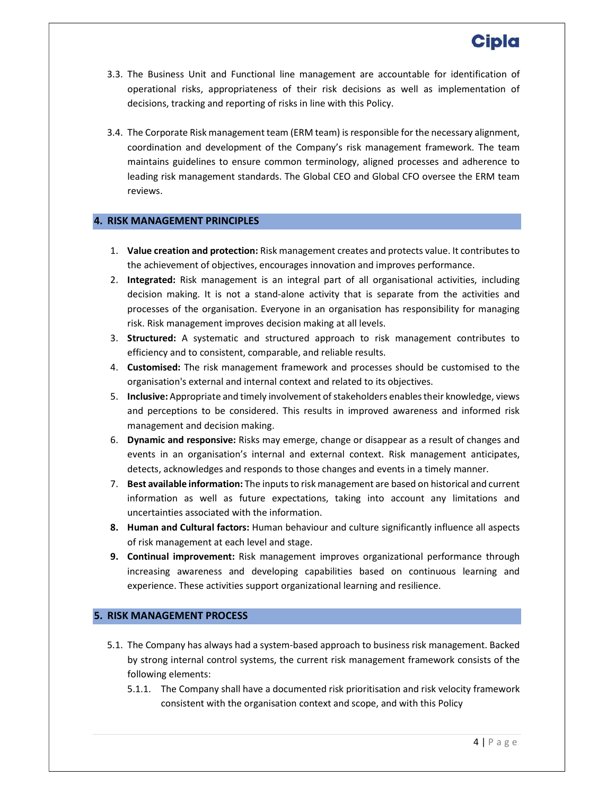- 3.3. The Business Unit and Functional line management are accountable for identification of operational risks, appropriateness of their risk decisions as well as implementation of decisions, tracking and reporting of risks in line with this Policy.
- 3.4. The Corporate Risk management team (ERM team) is responsible for the necessary alignment, coordination and development of the Company's risk management framework. The team maintains guidelines to ensure common terminology, aligned processes and adherence to leading risk management standards. The Global CEO and Global CFO oversee the ERM team reviews.

#### 4. RISK MANAGEMENT PRINCIPLES

- 1. Value creation and protection: Risk management creates and protects value. It contributes to the achievement of objectives, encourages innovation and improves performance.
- 2. Integrated: Risk management is an integral part of all organisational activities, including decision making. It is not a stand-alone activity that is separate from the activities and processes of the organisation. Everyone in an organisation has responsibility for managing risk. Risk management improves decision making at all levels.
- 3. Structured: A systematic and structured approach to risk management contributes to efficiency and to consistent, comparable, and reliable results.
- 4. Customised: The risk management framework and processes should be customised to the organisation's external and internal context and related to its objectives.
- 5. Inclusive: Appropriate and timely involvement of stakeholders enables their knowledge, views and perceptions to be considered. This results in improved awareness and informed risk management and decision making.
- 6. Dynamic and responsive: Risks may emerge, change or disappear as a result of changes and events in an organisation's internal and external context. Risk management anticipates, detects, acknowledges and responds to those changes and events in a timely manner.
- 7. Best available information: The inputs to risk management are based on historical and current information as well as future expectations, taking into account any limitations and uncertainties associated with the information.
- 8. Human and Cultural factors: Human behaviour and culture significantly influence all aspects of risk management at each level and stage.
- 9. Continual improvement: Risk management improves organizational performance through increasing awareness and developing capabilities based on continuous learning and experience. These activities support organizational learning and resilience.

#### 5. RISK MANAGEMENT PROCESS

- 5.1. The Company has always had a system-based approach to business risk management. Backed by strong internal control systems, the current risk management framework consists of the following elements:
	- 5.1.1. The Company shall have a documented risk prioritisation and risk velocity framework consistent with the organisation context and scope, and with this Policy